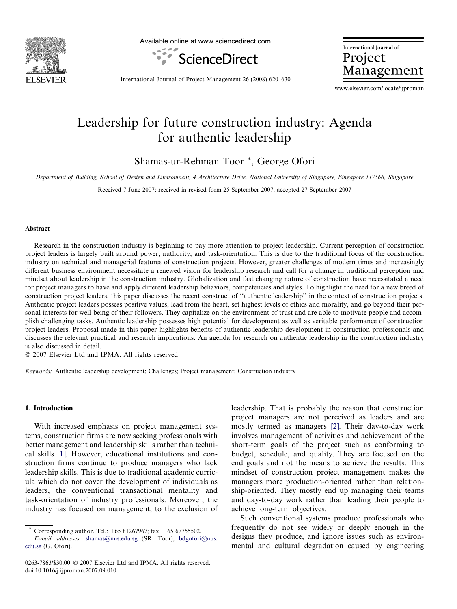

Available online at www.sciencedirect.com



International Journal of Project Management

International Journal of Project Management 26 (2008) 620–630

www.elsevier.com/locate/ijproman

# Leadership for future construction industry: Agenda for authentic leadership

Shamas-ur-Rehman Toor \*, George Ofori

Department of Building, School of Design and Environment, 4 Architecture Drive, National University of Singapore, Singapore 117566, Singapore

Received 7 June 2007; received in revised form 25 September 2007; accepted 27 September 2007

#### Abstract

Research in the construction industry is beginning to pay more attention to project leadership. Current perception of construction project leaders is largely built around power, authority, and task-orientation. This is due to the traditional focus of the construction industry on technical and managerial features of construction projects. However, greater challenges of modern times and increasingly different business environment necessitate a renewed vision for leadership research and call for a change in traditional perception and mindset about leadership in the construction industry. Globalization and fast changing nature of construction have necessitated a need for project managers to have and apply different leadership behaviors, competencies and styles. To highlight the need for a new breed of construction project leaders, this paper discusses the recent construct of ''authentic leadership'' in the context of construction projects. Authentic project leaders possess positive values, lead from the heart, set highest levels of ethics and morality, and go beyond their personal interests for well-being of their followers. They capitalize on the environment of trust and are able to motivate people and accomplish challenging tasks. Authentic leadership possesses high potential for development as well as veritable performance of construction project leaders. Proposal made in this paper highlights benefits of authentic leadership development in construction professionals and discusses the relevant practical and research implications. An agenda for research on authentic leadership in the construction industry is also discussed in detail.

 $© 2007 Elsevier Ltd and IPMA. All rights reserved.$ 

Keywords: Authentic leadership development; Challenges; Project management; Construction industry

## 1. Introduction

With increased emphasis on project management systems, construction firms are now seeking professionals with better management and leadership skills rather than technical skills [\[1\]](#page-8-0). However, educational institutions and construction firms continue to produce managers who lack leadership skills. This is due to traditional academic curricula which do not cover the development of individuals as leaders, the conventional transactional mentality and task-orientation of industry professionals. Moreover, the industry has focused on management, to the exclusion of leadership. That is probably the reason that construction project managers are not perceived as leaders and are mostly termed as managers [\[2\].](#page-8-0) Their day-to-day work involves management of activities and achievement of the short-term goals of the project such as conforming to budget, schedule, and quality. They are focused on the end goals and not the means to achieve the results. This mindset of construction project management makes the managers more production-oriented rather than relationship-oriented. They mostly end up managing their teams and day-to-day work rather than leading their people to achieve long-term objectives.

Such conventional systems produce professionals who frequently do not see widely or deeply enough in the designs they produce, and ignore issues such as environmental and cultural degradation caused by engineering

Corresponding author. Tel.: +65 81267967; fax: +65 67755502.

E-mail addresses: [shamas@nus.edu.sg](mailto:shamas@nus.edu.sg) (SR. Toor), [bdgofori@nus.](mailto:bdgofori@nus.edu.sg) [edu.sg](mailto:bdgofori@nus.edu.sg) (G. Ofori).

<sup>0263-7863/\$30.00 © 2007</sup> Elsevier Ltd and IPMA. All rights reserved. doi:10.1016/j.ijproman.2007.09.010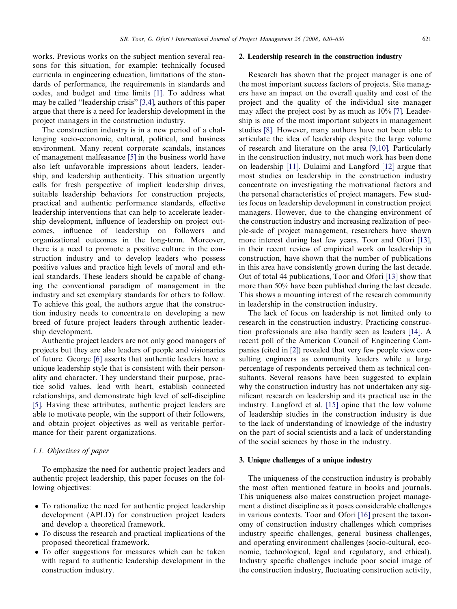project managers in the construction industry. The construction industry is in a new period of a challenging socio-economic, cultural, political, and business environment. Many recent corporate scandals, instances of management malfeasance [\[5\]](#page-9-0) in the business world have also left unfavorable impressions about leaders, leadership, and leadership authenticity. This situation urgently calls for fresh perspective of implicit leadership drives, suitable leadership behaviors for construction projects, practical and authentic performance standards, effective leadership interventions that can help to accelerate leadership development, influence of leadership on project outcomes, influence of leadership on followers and organizational outcomes in the long-term. Moreover, there is a need to promote a positive culture in the construction industry and to develop leaders who possess positive values and practice high levels of moral and ethical standards. These leaders should be capable of changing the conventional paradigm of management in the industry and set exemplary standards for others to follow. To achieve this goal, the authors argue that the construction industry needs to concentrate on developing a new breed of future project leaders through authentic leadership development.

Authentic project leaders are not only good managers of projects but they are also leaders of people and visionaries of future. George [\[6\]](#page-9-0) asserts that authentic leaders have a unique leadership style that is consistent with their personality and character. They understand their purpose, practice solid values, lead with heart, establish connected relationships, and demonstrate high level of self-discipline [\[5\].](#page-9-0) Having these attributes, authentic project leaders are able to motivate people, win the support of their followers, and obtain project objectives as well as veritable performance for their parent organizations.

# 1.1. Objectives of paper

To emphasize the need for authentic project leaders and authentic project leadership, this paper focuses on the following objectives:

- To rationalize the need for authentic project leadership development (APLD) for construction project leaders and develop a theoretical framework.
- To discuss the research and practical implications of the proposed theoretical framework.
- To offer suggestions for measures which can be taken with regard to authentic leadership development in the construction industry.

# 2. Leadership research in the construction industry

Research has shown that the project manager is one of the most important success factors of projects. Site managers have an impact on the overall quality and cost of the project and the quality of the individual site manager may affect the project cost by as much as 10% [\[7\].](#page-9-0) Leadership is one of the most important subjects in management studies [\[8\]](#page-9-0). However, many authors have not been able to articulate the idea of leadership despite the large volume of research and literature on the area [\[9,10\].](#page-9-0) Particularly in the construction industry, not much work has been done on leadership [\[11\]](#page-9-0). Dulaimi and Langford [\[12\]](#page-9-0) argue that most studies on leadership in the construction industry concentrate on investigating the motivational factors and the personal characteristics of project managers. Few studies focus on leadership development in construction project managers. However, due to the changing environment of the construction industry and increasing realization of people-side of project management, researchers have shown more interest during last few years. Toor and Ofori [\[13\],](#page-9-0) in their recent review of empirical work on leadership in construction, have shown that the number of publications in this area have consistently grown during the last decade. Out of total 44 publications, Toor and Ofori [\[13\]](#page-9-0) show that more than 50% have been published during the last decade. This shows a mounting interest of the research community in leadership in the construction industry.

The lack of focus on leadership is not limited only to research in the construction industry. Practicing construction professionals are also hardly seen as leaders [\[14\].](#page-9-0) A recent poll of the American Council of Engineering Companies (cited in [\[2\]\)](#page-8-0) revealed that very few people view consulting engineers as community leaders while a large percentage of respondents perceived them as technical consultants. Several reasons have been suggested to explain why the construction industry has not undertaken any significant research on leadership and its practical use in the industry. Langford et al. [\[15\]](#page-9-0) opine that the low volume of leadership studies in the construction industry is due to the lack of understanding of knowledge of the industry on the part of social scientists and a lack of understanding of the social sciences by those in the industry.

#### 3. Unique challenges of a unique industry

The uniqueness of the construction industry is probably the most often mentioned feature in books and journals. This uniqueness also makes construction project management a distinct discipline as it poses considerable challenges in various contexts. Toor and Ofori [\[16\]](#page-9-0) present the taxonomy of construction industry challenges which comprises industry specific challenges, general business challenges, and operating environment challenges (socio-cultural, economic, technological, legal and regulatory, and ethical). Industry specific challenges include poor social image of the construction industry, fluctuating construction activity,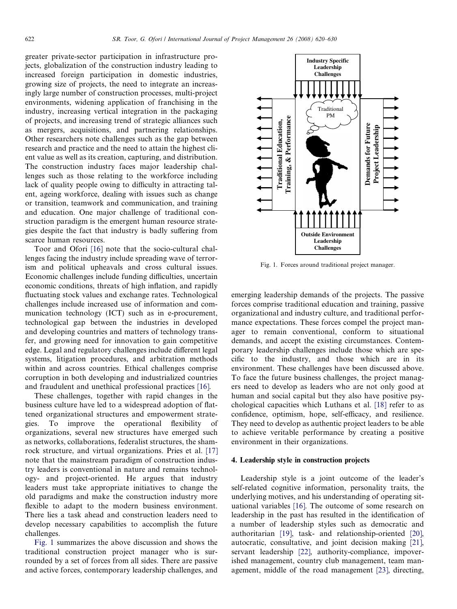greater private-sector participation in infrastructure projects, globalization of the construction industry leading to increased foreign participation in domestic industries, growing size of projects, the need to integrate an increasingly large number of construction processes, multi-project environments, widening application of franchising in the industry, increasing vertical integration in the packaging of projects, and increasing trend of strategic alliances such as mergers, acquisitions, and partnering relationships. Other researchers note challenges such as the gap between research and practice and the need to attain the highest client value as well as its creation, capturing, and distribution. The construction industry faces major leadership challenges such as those relating to the workforce including lack of quality people owing to difficulty in attracting talent, ageing workforce, dealing with issues such as change or transition, teamwork and communication, and training and education. One major challenge of traditional construction paradigm is the emergent human resource strategies despite the fact that industry is badly suffering from scarce human resources.

Toor and Ofori [\[16\]](#page-9-0) note that the socio-cultural challenges facing the industry include spreading wave of terrorism and political upheavals and cross cultural issues. Economic challenges include funding difficulties, uncertain economic conditions, threats of high inflation, and rapidly fluctuating stock values and exchange rates. Technological challenges include increased use of information and communication technology (ICT) such as in e-procurement, technological gap between the industries in developed and developing countries and matters of technology transfer, and growing need for innovation to gain competitive edge. Legal and regulatory challenges include different legal systems, litigation procedures, and arbitration methods within and across countries. Ethical challenges comprise corruption in both developing and industrialized countries and fraudulent and unethical professional practices [\[16\].](#page-9-0)

These challenges, together with rapid changes in the business culture have led to a widespread adoption of flattened organizational structures and empowerment strategies. To improve the operational flexibility of organizations, several new structures have emerged such as networks, collaborations, federalist structures, the shamrock structure, and virtual organizations. Pries et al. [\[17\]](#page-9-0) note that the mainstream paradigm of construction industry leaders is conventional in nature and remains technology- and project-oriented. He argues that industry leaders must take appropriate initiatives to change the old paradigms and make the construction industry more flexible to adapt to the modern business environment. There lies a task ahead and construction leaders need to develop necessary capabilities to accomplish the future challenges.

Fig. 1 summarizes the above discussion and shows the traditional construction project manager who is surrounded by a set of forces from all sides. There are passive and active forces, contemporary leadership challenges, and



Fig. 1. Forces around traditional project manager.

emerging leadership demands of the projects. The passive forces comprise traditional education and training, passive organizational and industry culture, and traditional performance expectations. These forces compel the project manager to remain conventional, conform to situational demands, and accept the existing circumstances. Contemporary leadership challenges include those which are specific to the industry, and those which are in its environment. These challenges have been discussed above. To face the future business challenges, the project managers need to develop as leaders who are not only good at human and social capital but they also have positive psychological capacities which Luthans et al. [\[18\]](#page-9-0) refer to as confidence, optimism, hope, self-efficacy, and resilience. They need to develop as authentic project leaders to be able to achieve veritable performance by creating a positive environment in their organizations.

#### 4. Leadership style in construction projects

Leadership style is a joint outcome of the leader's self-related cognitive information, personality traits, the underlying motives, and his understanding of operating situational variables [\[16\].](#page-9-0) The outcome of some research on leadership in the past has resulted in the identification of a number of leadership styles such as democratic and authoritarian [\[19\]](#page-9-0), task- and relationship-oriented [\[20\]](#page-9-0), autocratic, consultative, and joint decision making [\[21\]](#page-9-0), servant leadership [\[22\]](#page-9-0), authority-compliance, impoverished management, country club management, team management, middle of the road management [\[23\],](#page-9-0) directing,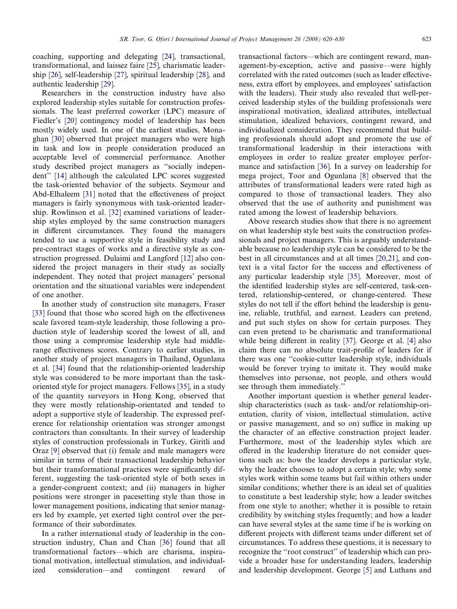coaching, supporting and delegating [\[24\],](#page-9-0) transactional, transformational, and laissez faire [\[25\],](#page-9-0) charismatic leadership [\[26\],](#page-9-0) self-leadership [\[27\],](#page-9-0) spiritual leadership [\[28\]](#page-9-0), and authentic leadership [\[29\].](#page-9-0)

Researchers in the construction industry have also explored leadership styles suitable for construction professionals. The least preferred coworker (LPC) measure of Fiedler's [\[20\]](#page-9-0) contingency model of leadership has been mostly widely used. In one of the earliest studies, Monaghan [\[30\]](#page-9-0) observed that project managers who were high in task and low in people consideration produced an acceptable level of commercial performance. Another study described project managers as ''socially independent'' [\[14\]](#page-9-0) although the calculated LPC scores suggested the task-oriented behavior of the subjects. Seymour and Abd-Elhaleem [\[31\]](#page-9-0) noted that the effectiveness of project managers is fairly synonymous with task-oriented leadership. Rowlinson et al. [\[32\]](#page-9-0) examined variations of leadership styles employed by the same construction managers in different circumstances. They found the managers tended to use a supportive style in feasibility study and pre-contract stages of works and a directive style as construction progressed. Dulaimi and Langford [\[12\]](#page-9-0) also considered the project managers in their study as socially independent. They noted that project managers' personal orientation and the situational variables were independent of one another.

In another study of construction site managers, Fraser [\[33\]](#page-9-0) found that those who scored high on the effectiveness scale favored team-style leadership, those following a production style of leadership scored the lowest of all, and those using a compromise leadership style had middlerange effectiveness scores. Contrary to earlier studies, in another study of project managers in Thailand, Ogunlana et al. [\[34\]](#page-9-0) found that the relationship-oriented leadership style was considered to be more important than the taskoriented style for project managers. Fellows [\[35\],](#page-9-0) in a study of the quantity surveyors in Hong Kong, observed that they were mostly relationship-orientated and tended to adopt a supportive style of leadership. The expressed preference for relationship orientation was stronger amongst contractors than consultants. In their survey of leadership styles of construction professionals in Turkey, Giritli and Oraz [\[9\]](#page-9-0) observed that (i) female and male managers were similar in terms of their transactional leadership behavior but their transformational practices were significantly different, suggesting the task-oriented style of both sexes in a gender-congruent context; and (ii) managers in higher positions were stronger in pacesetting style than those in lower management positions, indicating that senior managers led by example, yet exerted tight control over the performance of their subordinates.

In a rather international study of leadership in the construction industry, Chan and Chan [\[36\]](#page-9-0) found that all transformational factors—which are charisma, inspirational motivation, intellectual stimulation, and individualized consideration—and contingent reward of transactional factors—which are contingent reward, management-by-exception, active and passive—were highly correlated with the rated outcomes (such as leader effectiveness, extra effort by employees, and employees' satisfaction with the leaders). Their study also revealed that well-perceived leadership styles of the building professionals were inspirational motivation, idealized attributes, intellectual stimulation, idealized behaviors, contingent reward, and individualized consideration. They recommend that building professionals should adopt and promote the use of transformational leadership in their interactions with employees in order to realize greater employee performance and satisfaction [\[36\].](#page-9-0) In a survey on leadership for mega project, Toor and Ogunlana [\[8\]](#page-9-0) observed that the attributes of transformational leaders were rated high as compared to those of transactional leaders. They also observed that the use of authority and punishment was rated among the lowest of leadership behaviors.

Above research studies show that there is no agreement on what leadership style best suits the construction professionals and project managers. This is arguably understandable because no leadership style can be considered to be the best in all circumstances and at all times [\[20,21\]](#page-9-0), and context is a vital factor for the success and effectiveness of any particular leadership style [\[35\].](#page-9-0) Moreover, most of the identified leadership styles are self-centered, task-centered, relationship-centered, or change-centered. These styles do not tell if the effort behind the leadership is genuine, reliable, truthful, and earnest. Leaders can pretend, and put such styles on show for certain purposes. They can even pretend to be charismatic and transformational while being different in reality [\[37\].](#page-9-0) George et al. [\[4\]](#page-9-0) also claim there can no absolute trait-profile of leaders for if there was one ''cookie-cutter leadership style, individuals would be forever trying to imitate it. They would make themselves into personae, not people, and others would see through them immediately.''

Another important question is whether general leadership characteristics (such as task- and/or relationship-orientation, clarity of vision, intellectual stimulation, active or passive management, and so on) suffice in making up the character of an effective construction project leader. Furthermore, most of the leadership styles which are offered in the leadership literature do not consider questions such as: how the leader develops a particular style, why the leader chooses to adopt a certain style; why some styles work within some teams but fail within others under similar conditions; whether there is an ideal set of qualities to constitute a best leadership style; how a leader switches from one style to another; whether it is possible to retain credibility by switching styles frequently; and how a leader can have several styles at the same time if he is working on different projects with different teams under different set of circumstances. To address these questions, it is necessary to recognize the ''root construct'' of leadership which can provide a broader base for understanding leaders, leadership and leadership development. George [\[5\]](#page-9-0) and Luthans and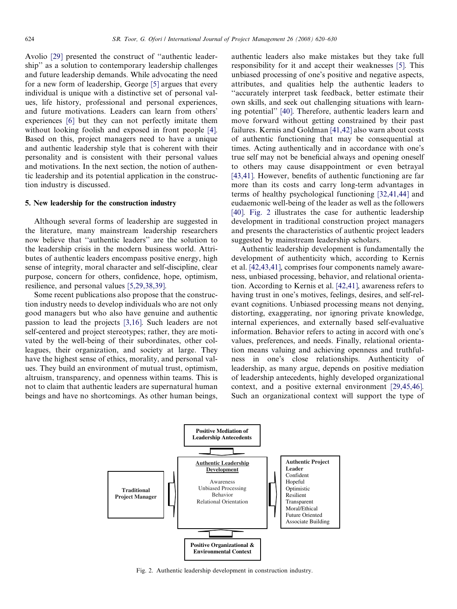<span id="page-4-0"></span>Avolio [\[29\]](#page-9-0) presented the construct of ''authentic leadership'' as a solution to contemporary leadership challenges and future leadership demands. While advocating the need for a new form of leadership, George [\[5\]](#page-9-0) argues that every individual is unique with a distinctive set of personal values, life history, professional and personal experiences, and future motivations. Leaders can learn from others' experiences [\[6\]](#page-9-0) but they can not perfectly imitate them without looking foolish and exposed in front people [\[4\]](#page-9-0). Based on this, project managers need to have a unique and authentic leadership style that is coherent with their personality and is consistent with their personal values and motivations. In the next section, the notion of authentic leadership and its potential application in the construction industry is discussed.

## 5. New leadership for the construction industry

Although several forms of leadership are suggested in the literature, many mainstream leadership researchers now believe that ''authentic leaders'' are the solution to the leadership crisis in the modern business world. Attributes of authentic leaders encompass positive energy, high sense of integrity, moral character and self-discipline, clear purpose, concern for others, confidence, hope, optimism, resilience, and personal values [\[5,29,38,39\].](#page-9-0)

Some recent publications also propose that the construction industry needs to develop individuals who are not only good managers but who also have genuine and authentic passion to lead the projects [\[3,16\]](#page-9-0). Such leaders are not self-centered and project stereotypes; rather, they are motivated by the well-being of their subordinates, other colleagues, their organization, and society at large. They have the highest sense of ethics, morality, and personal values. They build an environment of mutual trust, optimism, altruism, transparency, and openness within teams. This is not to claim that authentic leaders are supernatural human beings and have no shortcomings. As other human beings,

authentic leaders also make mistakes but they take full responsibility for it and accept their weaknesses [\[5\]](#page-9-0). This unbiased processing of one's positive and negative aspects, attributes, and qualities help the authentic leaders to ''accurately interpret task feedback, better estimate their own skills, and seek out challenging situations with learning potential'' [\[40\].](#page-9-0) Therefore, authentic leaders learn and move forward without getting constrained by their past failures. Kernis and Goldman [\[41,42\]](#page-9-0) also warn about costs of authentic functioning that may be consequential at times. Acting authentically and in accordance with one's true self may not be beneficial always and opening oneself to others may cause disappointment or even betrayal [\[43,41\].](#page-9-0) However, benefits of authentic functioning are far more than its costs and carry long-term advantages in terms of healthy psychological functioning [\[32,41,44\]](#page-9-0) and eudaemonic well-being of the leader as well as the followers [\[40\]](#page-9-0). Fig. 2 illustrates the case for authentic leadership development in traditional construction project managers and presents the characteristics of authentic project leaders suggested by mainstream leadership scholars.

Authentic leadership development is fundamentally the development of authenticity which, according to Kernis et al. [\[42,43,41\],](#page-9-0) comprises four components namely awareness, unbiased processing, behavior, and relational orientation. According to Kernis et al. [\[42,41\]](#page-9-0), awareness refers to having trust in one's motives, feelings, desires, and self-relevant cognitions. Unbiased processing means not denying, distorting, exaggerating, nor ignoring private knowledge, internal experiences, and externally based self-evaluative information. Behavior refers to acting in accord with one's values, preferences, and needs. Finally, relational orientation means valuing and achieving openness and truthfulness in one's close relationships. Authenticity of leadership, as many argue, depends on positive mediation of leadership antecedents, highly developed organizational context, and a positive external environment [\[29,45,46\]](#page-9-0). Such an organizational context will support the type of



Fig. 2. Authentic leadership development in construction industry.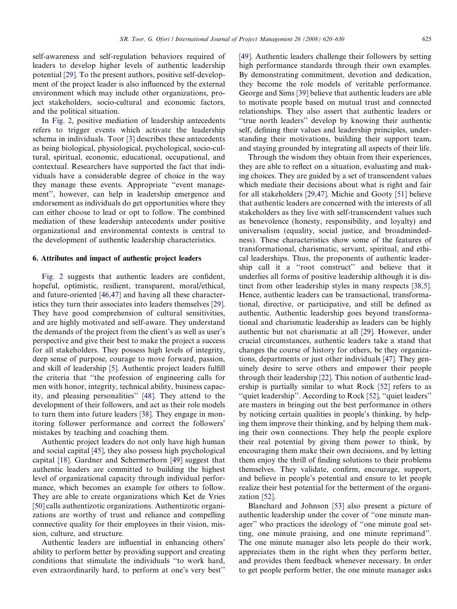self-awareness and self-regulation behaviors required of leaders to develop higher levels of authentic leadership potential [\[29\]](#page-9-0). To the present authors, positive self-development of the project leader is also influenced by the external environment which may include other organizations, project stakeholders, socio-cultural and economic factors, and the political situation.

In [Fig. 2,](#page-4-0) positive mediation of leadership antecedents refers to trigger events which activate the leadership schema in individuals. Toor [\[3\]](#page-9-0) describes these antecedents as being biological, physiological, psychological, socio-cultural, spiritual, economic, educational, occupational, and contextual. Researchers have supported the fact that individuals have a considerable degree of choice in the way they manage these events. Appropriate ''event management'', however, can help in leadership emergence and endorsement as individuals do get opportunities where they can either choose to lead or opt to follow. The combined mediation of these leadership antecedents under positive organizational and environmental contexts is central to the development of authentic leadership characteristics.

## 6. Attributes and impact of authentic project leaders

[Fig. 2](#page-4-0) suggests that authentic leaders are confident, hopeful, optimistic, resilient, transparent, moral/ethical, and future-oriented [\[46,47\]](#page-9-0) and having all these characteristics they turn their associates into leaders themselves [\[29\].](#page-9-0) They have good comprehension of cultural sensitivities, and are highly motivated and self-aware. They understand the demands of the project from the client's as well as user's perspective and give their best to make the project a success for all stakeholders. They possess high levels of integrity, deep sense of purpose, courage to move forward, passion, and skill of leadership [\[5\].](#page-9-0) Authentic project leaders fulfill the criteria that ''the profession of engineering calls for men with honor, integrity, technical ability, business capacity, and pleasing personalities'' [\[48\].](#page-9-0) They attend to the development of their followers, and act as their role models to turn them into future leaders [\[38\]](#page-9-0). They engage in monitoring follower performance and correct the followers' mistakes by teaching and coaching them.

Authentic project leaders do not only have high human and social capital [\[45\],](#page-9-0) they also possess high psychological capital [\[18\].](#page-9-0) Gardner and Schermerhorn [\[49\]](#page-9-0) suggest that authentic leaders are committed to building the highest level of organizational capacity through individual performance, which becomes an example for others to follow. They are able to create organizations which Ket de Vries [\[50\]](#page-9-0) calls authentizotic organizations. Authentizotic organizations are worthy of trust and reliance and compelling connective quality for their employees in their vision, mission, culture, and structure.

Authentic leaders are influential in enhancing others' ability to perform better by providing support and creating conditions that stimulate the individuals ''to work hard, even extraordinarily hard, to perform at one's very best''

[\[49\].](#page-9-0) Authentic leaders challenge their followers by setting high performance standards through their own examples. By demonstrating commitment, devotion and dedication, they become the role models of veritable performance. George and Sims [\[39\]](#page-9-0) believe that authentic leaders are able to motivate people based on mutual trust and connected relationships. They also assert that authentic leaders or ''true north leaders'' develop by knowing their authentic self, defining their values and leadership principles, understanding their motivations, building their support team, and staying grounded by integrating all aspects of their life.

Through the wisdom they obtain from their experiences, they are able to reflect on a situation, evaluating and making choices. They are guided by a set of transcendent values which mediate their decisions about what is right and fair for all stakeholders [\[29,47\].](#page-9-0) Michie and Gooty [\[51\]](#page-9-0) believe that authentic leaders are concerned with the interests of all stakeholders as they live with self-transcendent values such as benevolence (honesty, responsibility, and loyalty) and universalism (equality, social justice, and broadmindedness). These characteristics show some of the features of transformational, charismatic, servant, spiritual, and ethical leaderships. Thus, the proponents of authentic leadership call it a ''root construct'' and believe that it underlies all forms of positive leadership although it is distinct from other leadership styles in many respects [\[38,5\].](#page-9-0) Hence, authentic leaders can be transactional, transformational, directive, or participative, and still be defined as authentic. Authentic leadership goes beyond transformational and charismatic leadership as leaders can be highly authentic but not charismatic at all [\[29\]](#page-9-0). However, under crucial circumstances, authentic leaders take a stand that changes the course of history for others, be they organizations, departments or just other individuals [\[47\]](#page-9-0). They genuinely desire to serve others and empower their people through their leadership [\[22\].](#page-9-0) This notion of authentic leadership is partially similar to what Rock [\[52\]](#page-9-0) refers to as ''quiet leadership''. According to Rock [\[52\]](#page-9-0), ''quiet leaders'' are masters in bringing out the best performance in others by noticing certain qualities in people's thinking, by helping them improve their thinking, and by helping them making their own connections. They help the people explore their real potential by giving them power to think, by encouraging them make their own decisions, and by letting them enjoy the thrill of finding solutions to their problems themselves. They validate, confirm, encourage, support, and believe in people's potential and ensure to let people realize their best potential for the betterment of the organization [\[52\].](#page-9-0)

Blanchard and Johnson [\[53\]](#page-10-0) also present a picture of authentic leadership under the cover of ''one minute manager'' who practices the ideology of ''one minute goal setting, one minute praising, and one minute reprimand''. The one minute manager also lets people do their work, appreciates them in the right when they perform better, and provides them feedback whenever necessary. In order to get people perform better, the one minute manager asks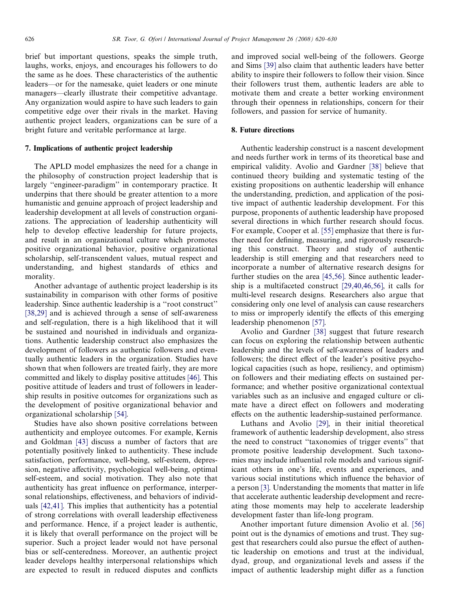brief but important questions, speaks the simple truth, laughs, works, enjoys, and encourages his followers to do the same as he does. These characteristics of the authentic leaders—or for the namesake, quiet leaders or one minute managers—clearly illustrate their competitive advantage. Any organization would aspire to have such leaders to gain competitive edge over their rivals in the market. Having authentic project leaders, organizations can be sure of a bright future and veritable performance at large.

## 7. Implications of authentic project leadership

The APLD model emphasizes the need for a change in the philosophy of construction project leadership that is largely ''engineer-paradigm'' in contemporary practice. It underpins that there should be greater attention to a more humanistic and genuine approach of project leadership and leadership development at all levels of construction organizations. The appreciation of leadership authenticity will help to develop effective leadership for future projects, and result in an organizational culture which promotes positive organizational behavior, positive organizational scholarship, self-transcendent values, mutual respect and understanding, and highest standards of ethics and morality.

Another advantage of authentic project leadership is its sustainability in comparison with other forms of positive leadership. Since authentic leadership is a ''root construct'' [\[38,29\]](#page-9-0) and is achieved through a sense of self-awareness and self-regulation, there is a high likelihood that it will be sustained and nourished in individuals and organizations. Authentic leadership construct also emphasizes the development of followers as authentic followers and eventually authentic leaders in the organization. Studies have shown that when followers are treated fairly, they are more committed and likely to display positive attitudes [\[46\].](#page-9-0) This positive attitude of leaders and trust of followers in leadership results in positive outcomes for organizations such as the development of positive organizational behavior and organizational scholarship [\[54\].](#page-10-0)

Studies have also shown positive correlations between authenticity and employee outcomes. For example, Kernis and Goldman [\[43\]](#page-9-0) discuss a number of factors that are potentially positively linked to authenticity. These include satisfaction, performance, well-being, self-esteem, depression, negative affectivity, psychological well-being, optimal self-esteem, and social motivation. They also note that authenticity has great influence on performance, interpersonal relationships, effectiveness, and behaviors of individuals [\[42,41\].](#page-9-0) This implies that authenticity has a potential of strong correlations with overall leadership effectiveness and performance. Hence, if a project leader is authentic, it is likely that overall performance on the project will be superior. Such a project leader would not have personal bias or self-centeredness. Moreover, an authentic project leader develops healthy interpersonal relationships which are expected to result in reduced disputes and conflicts

and improved social well-being of the followers. George and Sims [\[39\]](#page-9-0) also claim that authentic leaders have better ability to inspire their followers to follow their vision. Since their followers trust them, authentic leaders are able to motivate them and create a better working environment through their openness in relationships, concern for their followers, and passion for service of humanity.

### 8. Future directions

Authentic leadership construct is a nascent development and needs further work in terms of its theoretical base and empirical validity. Avolio and Gardner [\[38\]](#page-9-0) believe that continued theory building and systematic testing of the existing propositions on authentic leadership will enhance the understanding, prediction, and application of the positive impact of authentic leadership development. For this purpose, proponents of authentic leadership have proposed several directions in which further research should focus. For example, Cooper et al. [\[55\]](#page-10-0) emphasize that there is further need for defining, measuring, and rigorously researching this construct. Theory and study of authentic leadership is still emerging and that researchers need to incorporate a number of alternative research designs for further studies on the area [\[45,56\]](#page-9-0). Since authentic leadership is a multifaceted construct [\[29,40,46,56\]](#page-9-0), it calls for multi-level research designs. Researchers also argue that considering only one level of analysis can cause researchers to miss or improperly identify the effects of this emerging leadership phenomenon [\[57\].](#page-10-0)

Avolio and Gardner [\[38\]](#page-9-0) suggest that future research can focus on exploring the relationship between authentic leadership and the levels of self-awareness of leaders and followers; the direct effect of the leader's positive psychological capacities (such as hope, resiliency, and optimism) on followers and their mediating effects on sustained performance; and whether positive organizational contextual variables such as an inclusive and engaged culture or climate have a direct effect on followers and moderating effects on the authentic leadership-sustained performance.

Luthans and Avolio [\[29\],](#page-9-0) in their initial theoretical framework of authentic leadership development, also stress the need to construct ''taxonomies of trigger events'' that promote positive leadership development. Such taxonomies may include influential role models and various significant others in one's life, events and experiences, and various social institutions which influence the behavior of a person [\[3\].](#page-9-0) Understanding the moments that matter in life that accelerate authentic leadership development and recreating those moments may help to accelerate leadership development faster than life-long program.

Another important future dimension Avolio et al. [\[56\]](#page-10-0) point out is the dynamics of emotions and trust. They suggest that researchers could also pursue the effect of authentic leadership on emotions and trust at the individual, dyad, group, and organizational levels and assess if the impact of authentic leadership might differ as a function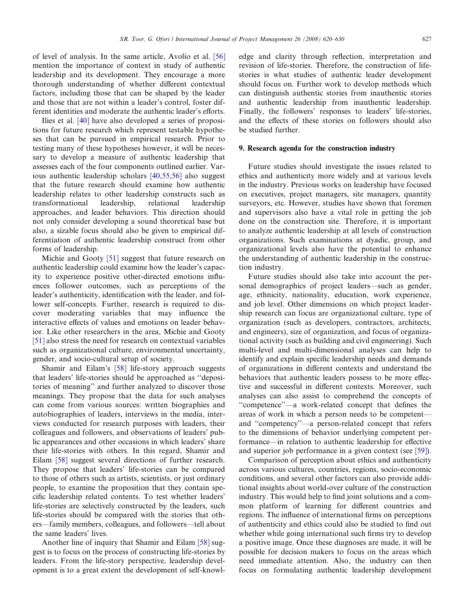of level of analysis. In the same article, Avolio et al. [\[56\]](#page-10-0) mention the importance of context in study of authentic leadership and its development. They encourage a more thorough understanding of whether different contextual factors, including those that can be shaped by the leader and those that are not within a leader's control, foster different identities and moderate the authentic leader's efforts.

Ilies et al. [\[40\]](#page-9-0) have also developed a series of propositions for future research which represent testable hypotheses that can be pursued in empirical research. Prior to testing many of these hypotheses however, it will be necessary to develop a measure of authentic leadership that assesses each of the four components outlined earlier. Various authentic leadership scholars [\[40,55,56\]](#page-9-0) also suggest that the future research should examine how authentic leadership relates to other leadership constructs such as transformational leadership, relational leadership approaches, and leader behaviors. This direction should not only consider developing a sound theoretical base but also, a sizable focus should also be given to empirical differentiation of authentic leadership construct from other forms of leadership.

Michie and Gooty [\[51\]](#page-9-0) suggest that future research on authentic leadership could examine how the leader's capacity to experience positive other-directed emotions influences follower outcomes, such as perceptions of the leader's authenticity, identification with the leader, and follower self-concepts. Further, research is required to discover moderating variables that may influence the interactive effects of values and emotions on leader behavior. Like other researchers in the area, Michie and Gooty [\[51\]](#page-9-0) also stress the need for research on contextual variables such as organizational culture, environmental uncertainty, gender, and socio-cultural setup of society.

Shamir and Eilam's [\[58\]](#page-10-0) life-story approach suggests that leaders' life-stories should be approached as ''depositories of meaning'' and further analyzed to discover those meanings. They propose that the data for such analyses can come from various sources: written biographies and autobiographies of leaders, interviews in the media, interviews conducted for research purposes with leaders, their colleagues and followers, and observations of leaders' public appearances and other occasions in which leaders' share their life-stories with others. In this regard, Shamir and Eilam [\[58\]](#page-10-0) suggest several directions of further research. They propose that leaders' life-stories can be compared to those of others such as artists, scientists, or just ordinary people, to examine the proposition that they contain specific leadership related contents. To test whether leaders' life-stories are selectively constructed by the leaders, such life-stories should be compared with the stories that others—family members, colleagues, and followers—tell about the same leaders' lives.

Another line of inquiry that Shamir and Eilam [\[58\]](#page-10-0) suggest is to focus on the process of constructing life-stories by leaders. From the life-story perspective, leadership development is to a great extent the development of self-knowledge and clarity through reflection, interpretation and revision of life-stories. Therefore, the construction of lifestories is what studies of authentic leader development should focus on. Further work to develop methods which can distinguish authentic stories from inauthentic stories and authentic leadership from inauthentic leadership. Finally, the followers' responses to leaders' life-stories, and the effects of these stories on followers should also be studied further.

### 9. Research agenda for the construction industry

Future studies should investigate the issues related to ethics and authenticity more widely and at various levels in the industry. Previous works on leadership have focused on executives, project managers, site managers, quantity surveyors, etc. However, studies have shown that foremen and supervisors also have a vital role in getting the job done on the construction site. Therefore, it is important to analyze authentic leadership at all levels of construction organizations. Such examinations at dyadic, group, and organizational levels also have the potential to enhance the understanding of authentic leadership in the construction industry.

Future studies should also take into account the personal demographics of project leaders—such as gender, age, ethnicity, nationality, education, work experience, and job level. Other dimensions on which project leadership research can focus are organizational culture, type of organization (such as developers, contractors, architects, and engineers), size of organization, and focus of organizational activity (such as building and civil engineering). Such multi-level and multi-dimensional analyses can help to identify and explain specific leadership needs and demands of organizations in different contexts and understand the behaviors that authentic leaders possess to be more effective and successful in different contexts. Moreover, such analyses can also assist to comprehend the concepts of ''competence''—a work-related concept that defines the areas of work in which a person needs to be competent and ''competency''—a person-related concept that refers to the dimensions of behavior underlying competent performance—in relation to authentic leadership for effective and superior job performance in a given context (see [\[59\]\)](#page-10-0).

Comparison of perception about ethics and authenticity across various cultures, countries, regions, socio-economic conditions, and several other factors can also provide additional insights about world-over culture of the construction industry. This would help to find joint solutions and a common platform of learning for different countries and regions. The influence of international firms on perceptions of authenticity and ethics could also be studied to find out whether while going international such firms try to develop a positive image. Once these diagnoses are made, it will be possible for decision makers to focus on the areas which need immediate attention. Also, the industry can then focus on formulating authentic leadership development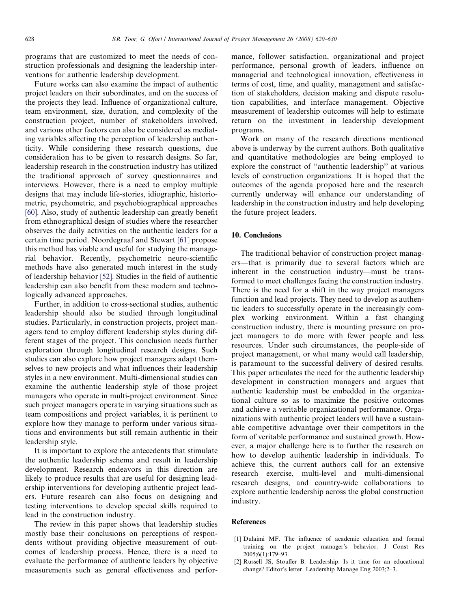<span id="page-8-0"></span>programs that are customized to meet the needs of construction professionals and designing the leadership interventions for authentic leadership development.

Future works can also examine the impact of authentic project leaders on their subordinates, and on the success of the projects they lead. Influence of organizational culture, team environment, size, duration, and complexity of the construction project, number of stakeholders involved, and various other factors can also be considered as mediating variables affecting the perception of leadership authenticity. While considering these research questions, due consideration has to be given to research designs. So far, leadership research in the construction industry has utilized the traditional approach of survey questionnaires and interviews. However, there is a need to employ multiple designs that may include life-stories, idiographic, historiometric, psychometric, and psychobiographical approaches [\[60\]](#page-10-0). Also, study of authentic leadership can greatly benefit from ethnographical design of studies where the researcher observes the daily activities on the authentic leaders for a certain time period. Noordegraaf and Stewart [\[61\]](#page-10-0) propose this method has viable and useful for studying the managerial behavior. Recently, psychometric neuro-scientific methods have also generated much interest in the study of leadership behavior [\[52\].](#page-9-0) Studies in the field of authentic leadership can also benefit from these modern and technologically advanced approaches.

Further, in addition to cross-sectional studies, authentic leadership should also be studied through longitudinal studies. Particularly, in construction projects, project managers tend to employ different leadership styles during different stages of the project. This conclusion needs further exploration through longitudinal research designs. Such studies can also explore how project managers adapt themselves to new projects and what influences their leadership styles in a new environment. Multi-dimensional studies can examine the authentic leadership style of those project managers who operate in multi-project environment. Since such project managers operate in varying situations such as team compositions and project variables, it is pertinent to explore how they manage to perform under various situations and environments but still remain authentic in their leadership style.

It is important to explore the antecedents that stimulate the authentic leadership schema and result in leadership development. Research endeavors in this direction are likely to produce results that are useful for designing leadership interventions for developing authentic project leaders. Future research can also focus on designing and testing interventions to develop special skills required to lead in the construction industry.

The review in this paper shows that leadership studies mostly base their conclusions on perceptions of respondents without providing objective measurement of outcomes of leadership process. Hence, there is a need to evaluate the performance of authentic leaders by objective measurements such as general effectiveness and performance, follower satisfaction, organizational and project performance, personal growth of leaders, influence on managerial and technological innovation, effectiveness in terms of cost, time, and quality, management and satisfaction of stakeholders, decision making and dispute resolution capabilities, and interface management. Objective measurement of leadership outcomes will help to estimate return on the investment in leadership development programs.

Work on many of the research directions mentioned above is underway by the current authors. Both qualitative and quantitative methodologies are being employed to explore the construct of ''authentic leadership'' at various levels of construction organizations. It is hoped that the outcomes of the agenda proposed here and the research currently underway will enhance our understanding of leadership in the construction industry and help developing the future project leaders.

#### 10. Conclusions

The traditional behavior of construction project managers—that is primarily due to several factors which are inherent in the construction industry—must be transformed to meet challenges facing the construction industry. There is the need for a shift in the way project managers function and lead projects. They need to develop as authentic leaders to successfully operate in the increasingly complex working environment. Within a fast changing construction industry, there is mounting pressure on project managers to do more with fewer people and less resources. Under such circumstances, the people-side of project management, or what many would call leadership, is paramount to the successful delivery of desired results. This paper articulates the need for the authentic leadership development in construction managers and argues that authentic leadership must be embedded in the organizational culture so as to maximize the positive outcomes and achieve a veritable organizational performance. Organizations with authentic project leaders will have a sustainable competitive advantage over their competitors in the form of veritable performance and sustained growth. However, a major challenge here is to further the research on how to develop authentic leadership in individuals. To achieve this, the current authors call for an extensive research exercise, multi-level and multi-dimensional research designs, and country-wide collaborations to explore authentic leadership across the global construction industry.

### References

- [1] Dulaimi MF. The influence of academic education and formal training on the project manager's behavior. J Const Res 2005;6(1):179–93.
- [2] Russell JS, Stouffer B. Leadership: Is it time for an educational change? Editor's letter. Leadership Manage Eng 2003;2–3.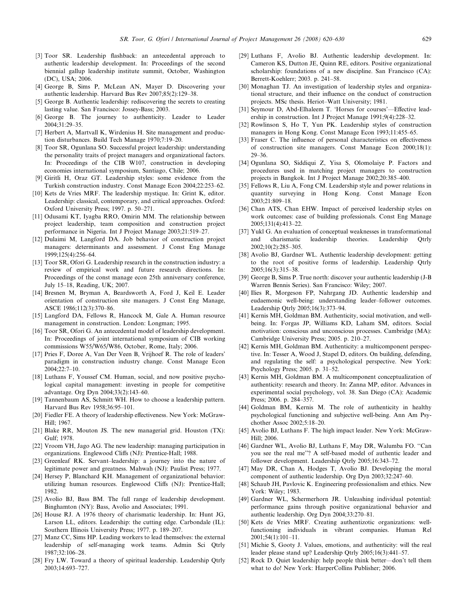- <span id="page-9-0"></span>[3] Toor SR. Leadership flashback: an antecedental approach to authentic leadership development. In: Proceedings of the second biennial gallup leadership institute summit, October, Washington (DC), USA; 2006.
- [4] George B, Sims P, McLean AN, Mayer D. Discovering your authentic leadership. Harvard Bus Rev 2007;85(2):129–38.
- [5] George B. Authentic leadership: rediscovering the secrets to creating lasting value. San Francisco: Jossey-Bass; 2003.
- [6] George B. The journey to authenticity. Leader to Leader 2004;31:29–35.
- [7] Herbert A, Martvall K, Wirdenius H, Site management and production disturbances. Build Tech Manage 1970;7:19–20.
- [8] Toor SR, Ogunlana SO. Successful project leadership: understanding the personality traits of project managers and organizational factors. In: Proceedings of the CIB W107, construction in developing economies international symposium, Santiago, Chile; 2006.
- [9] Giritli H, Oraz GT. Leadership styles: some evidence from the Turkish construction industry. Const Manage Econ 2004;22:253–62.
- [10] Kets de Vries MRF. The leadership mystique. In: Grint K, editor. Leadership: classical, contemporary, and critical approaches. Oxford: Oxford University Press; 1997. p. 50–271.
- [11] Odusami KT, Iyagba RRO, Omirin MM. The relationship between project leadership, team composition and construction project performance in Nigeria. Int J Project Manage 2003;21:519–27.
- [12] Dulaimi M, Langford DA. Job behavior of construction project managers: determinants and assessment. J Const Eng Manage 1999;125(4):256–64.
- [13] Toor SR, Ofori G. Leadership research in the construction industry: a review of empirical work and future research directions. In: Proceedings of the const manage econ 25th anniversary conference, July 15–18, Reading, UK; 2007.
- [14] Bresnen M, Bryman A, Beardsworth A, Ford J, Keil E. Leader orientation of construction site managers. J Const Eng Manage, ASCE 1986;112(3):370–86.
- [15] Langford DA, Fellows R, Hancock M, Gale A. Human resource management in construction. London: Longman; 1995.
- [16] Toor SR, Ofori G. An antecedental model of leadership development. In: Proceedings of joint international symposium of CIB working commissions W55/W65/W86, October, Rome, Italy; 2006.
- [17] Pries F, Doree A, Van Der Veen B, Vrijhoef R. The role of leaders' paradigm in construction industry change. Const Manage Econ  $2004.22.7 - 10$
- [18] Luthans F, Youssef CM. Human, social, and now positive psychological capital management: investing in people for competitive advantage. Org Dyn 2004;33(2):143–60.
- [19] Tannenbaum AS, Schmitt WH. How to choose a leadership pattern. Harvard Bus Rev 1958;36:95–101.
- [20] Fiedler FE. A theory of leadership effectiveness. New York: McGraw- $Hill: 1967$
- [21] Blake RR, Mouton JS. The new managerial grid. Houston (TX): Gulf; 1978.
- [22] Vroom VH, Jago AG. The new leadership: managing participation in organizations. Englewood Cliffs (NJ): Prentice-Hall; 1988.
- [23] Greenleaf RK. Servant–leadership: a journey into the nature of legitimate power and greatness. Mahwah (NJ): Paulist Press; 1977.
- [24] Hersey P, Blanchard KH. Management of organizational behavior: utilizing human resources. Englewood Cliffs (NJ): Prentice-Hall; 1982.
- [25] Avolio BJ, Bass BM. The full range of leadership development. Binghamton (NY): Bass, Avolio and Associates; 1991.
- [26] House RJ. A 1976 theory of charismatic leadership. In: Hunt JG, Larson LL, editors. Leadership: the cutting edge. Carbondale (IL): Southern Illinois University Press; 1977. p. 189–207.
- [27] Manz CC, Sims HP. Leading workers to lead themselves: the external leadership of self-managing work teams. Admin Sci Qtrly 1987;32:106–28.
- [28] Fry LW. Toward a theory of spiritual leadership. Leadership Qtrly 2003;14:693–727.
- [29] Luthans F, Avolio BJ. Authentic leadership development. In: Cameron KS, Dutton JE, Quinn RE, editors. Positive organizational scholarship: foundations of a new discipline. San Francisco (CA): Berrett-Koehlerr; 2003. p. 241–58.
- [30] Monaghan TJ. An investigation of leadership styles and organizational structure, and their influence on the conduct of construction projects. MSc thesis. Heriot–Watt University; 1981.
- [31] Seymour D, Abd-Elhaleem T. 'Horses for courses'—Effective leadership in construction. Int J Project Manage 1991;9(4):228–32.
- [32] Rowlinson S, Ho T, Yun PK. Leadership styles of construction managers in Hong Kong. Const Manage Econ 1993;11:455–65.
- [33] Fraser C. The influence of personal characteristics on effectiveness of construction site managers. Const Manage Econ 2000;18(1): 29–36.
- [34] Ogunlana SO, Siddiqui Z, Yisa S, Olomolaiye P. Factors and procedures used in matching project managers to construction projects in Bangkok. Int J Project Manage 2002;20:385–400.
- [35] Fellows R, Liu A, Fong CM. Leadership style and power relations in quantity surveying in Hong Kong. Const Manage Econ 2003;21:809–18.
- [36] Chan ATS, Chan EHW. Impact of perceived leadership styles on work outcomes: case of building professionals. Const Eng Manage 2005;131(4):413–22.
- [37] Yukl G. An evaluation of conceptual weaknesses in transformational and charismatic leadership theories. Leadership Qtrly 2002;10(2):285–305.
- [38] Avolio BJ, Gardner WL. Authentic leadership development: getting to the root of positive forms of leadership. Leadership Qtrly 2005;16(3):315–38.
- [39] George B, Sims P. True north: discover your authentic leadership (J-B Warren Bennis Series). San Francisco: Wiley; 2007.
- [40] Ilies R, Morgeson FP, Nahrgang JD. Authentic leadership and eudaemonic well-being: understanding leader–follower outcomes. Leadership Qtrly 2005;16(3):373–94.
- [41] Kernis MH, Goldman BM. Authenticity, social motivation, and wellbeing. In: Forgas JP, Williams KD, Laham SM, editors. Social motivation: conscious and unconscious processes. Cambridge (MA): Cambridge University Press; 2005. p. 210–27.
- [42] Kernis MH, Goldman BM. Authenticity: a multicomponent perspective. In: Tesser A, Wood J, Stapel D, editors. On building, defending, and regulating the self: a psychological perspective. New York: Psychology Press; 2005. p. 31–52.
- [43] Kernis MH, Goldman BM. A multicomponent conceptualization of authenticity: research and theory. In: Zanna MP, editor. Advances in experimental social psychology, vol. 38. San Diego (CA): Academic Press; 2006. p. 284–357.
- [44] Goldman BM, Kernis M. The role of authenticity in healthy psychological functioning and subjective well-being. Ann Am Psychother Assoc 2002;5:18–20.
- [45] Avolio BJ, Luthans F. The high impact leader. New York: McGraw-Hill; 2006.
- [46] Gardner WL, Avolio BJ, Luthans F, May DR, Walumba FO. ''Can you see the real me''? A self-based model of authentic leader and follower development. Leadership Qtrly 2005;16:343–72.
- [47] May DR, Chan A, Hodges T, Avolio BJ. Developing the moral component of authentic leadership. Org Dyn 2003;32:247–60.
- [48] Schaub JH, Pavlovic K. Engineering professionalism and ethics. New York: Wiley; 1983.
- [49] Gardner WL, Schermerhorn JR. Unleashing individual potential: performance gains through positive organizational behavior and authentic leadership. Org Dyn 2004;33:270–81.
- [50] Kets de Vries MRF. Creating authentizotic organizations: wellfunctioning individuals in vibrant companies. Human Rel 2001;54(1):101–11.
- [51] Michie S, Gooty J. Values, emotions, and authenticity: will the real leader please stand up? Leadership Qtrly 2005;16(3):441–57.
- [52] Rock D. Quiet leadership: help people think better—don't tell them what to do! New York: HarperCollins Publisher; 2006.